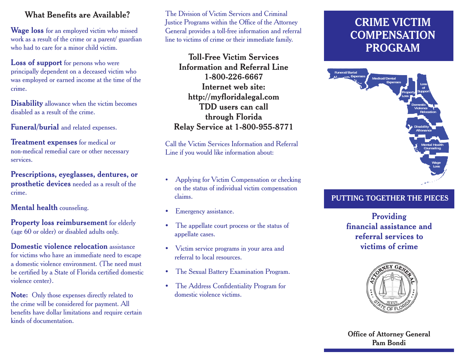#### **What Benefits are Available?**

**Wage loss** for an employed victim who missed work as a result of the crime or a parent/ guardian who had to care for a minor child victim.

**Loss of support** for persons who were principally dependent on a deceased victim who was employed or earned income at the time of the crime.

**Disability** allowance when the victim becomes disabled as a result of the crime.

**Funeral/burial** and related expenses.

**Treatment expenses** for medical or non-medical remedial care or other necessary services.

**Prescriptions, eyeglasses, dentures, or prosthetic devices** needed as a result of the crime.

**Mental health** counseling.

**Property loss reimbursement** for elderly (age 60 or older) or disabled adults only.

**Domestic violence relocation** assistance for victims who have an immediate need to escape a domestic violence environment. (The need must be certified by a State of Florida certified domestic violence center).

**Note:** Only those expenses directly related to the crime will be considered for payment. All benefits have dollar limitations and require certain kinds of documentation.

The Division of Victim Services and Criminal Justice Programs within the Office of the Attorney General provides a toll-free information and referral line to victims of crime or their immediate family.

**Toll-Free Victim ServicesInformation and Referral Line1-800-226-6667Internet web site: http://myfloridalegal.com TDD users can callthrough Florida Relay Service at 1-800-955-8771** 

Call the Victim Services Information and Referral Line if you would like information about:

- $\bullet$  Applying for Victim Compensation or checking on the status of individual victim compensation claims.
- Emergency assistance.
- The appellate court process or the status of appellate cases.
- Victim service programs in your area and referral to local resources.
- The Sexual Battery Examination Program.
- The Address Confidentiality Program for domestic violence victims.

# **CRIME VICTIMCOMPENSATIONPROGRAM**



# **PUTTING TOGETHER THE PIECES**

**Providing financial assistance and referral services tovictims of crime**



**Office of Attorney General Pam Bondi**